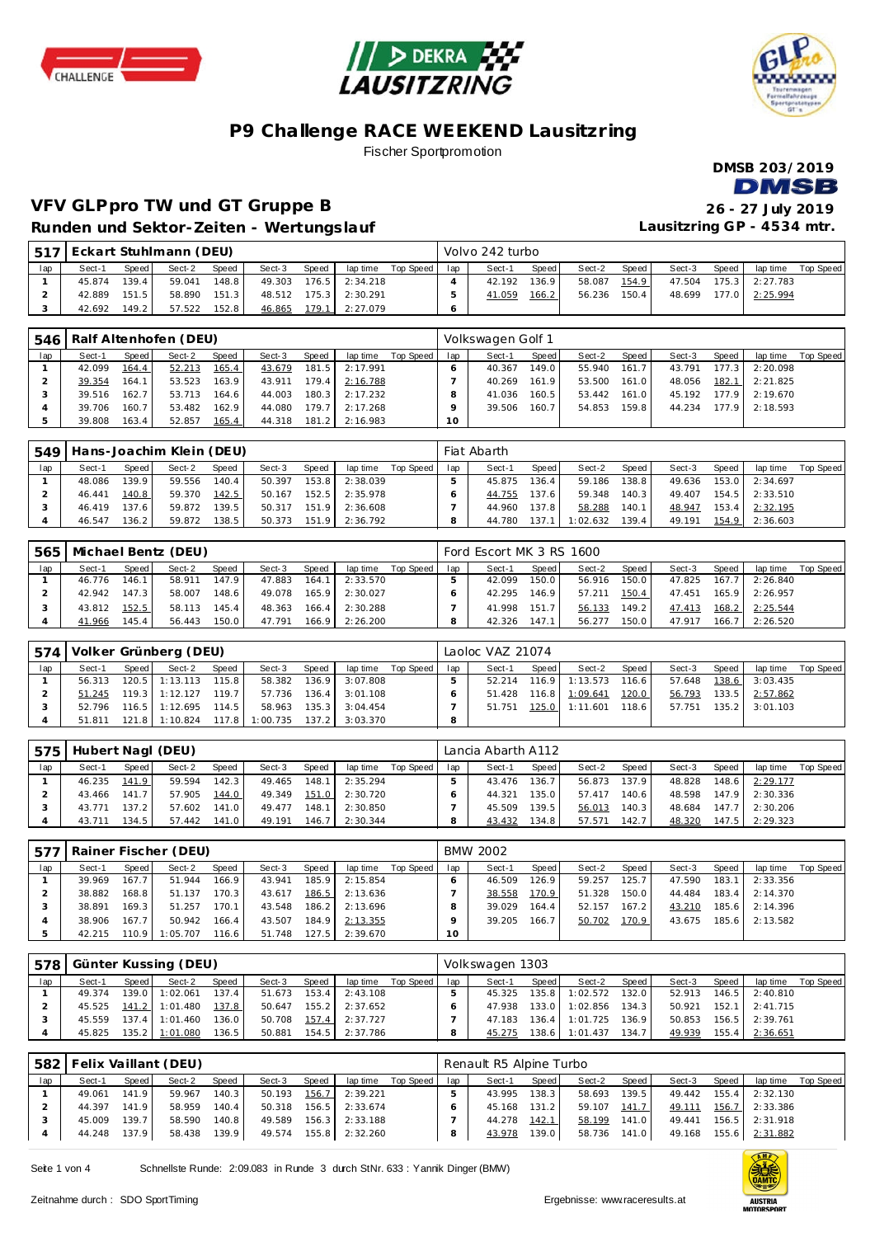





### **P9 Challenge RACE WEEKEND Lausitzring**

Fischer Sportpromotion



## **VFV GLPpro TW und GT Gruppe B 26 - 27 July 2019**

**Lausitzring GP - 4534 mtr.**

**Runden und Sektor-Zeiten - Wertungslauf**

|     | 517 Eckart Stuhlmann (DEU) |       |        |       |        |       |                |           |     | Volvo 242 turbo |       |        |       |        |       |                |           |
|-----|----------------------------|-------|--------|-------|--------|-------|----------------|-----------|-----|-----------------|-------|--------|-------|--------|-------|----------------|-----------|
| lap | Sect-1                     | Speed | Sect-2 | Speed | Sect-3 | Speed | lap time       | Top Speed | lap | Sect-1          | Speed | Sect-2 | Speed | Sect-3 | Speed | lap time       | Top Speed |
|     | 45.874                     | 139.4 | 59.041 | 148.8 | 49.303 | 176.5 | 2:34.218       |           |     | 42.192          | 136.9 | 58.087 | 154.9 | 47.504 |       | 175.3 2:27.783 |           |
|     | 42.889                     | 151.5 | 58.890 | 151.3 | 48.512 |       | 175.3 2:30.291 |           |     | 41.059          | 166.2 | 56.236 | 150.4 | 48.699 |       | 177.0 2:25.994 |           |
|     | 42.692                     | 149.2 | 57.522 | 152.8 | 46.865 | 179.1 | 2:27.079       |           |     |                 |       |        |       |        |       |                |           |

|     | 546   Ralf Altenhofen (DEU) |       |        |       |        |         |          |           |     | Volkswagen Golf 1 |       |        |                    |        |       |          |           |
|-----|-----------------------------|-------|--------|-------|--------|---------|----------|-----------|-----|-------------------|-------|--------|--------------------|--------|-------|----------|-----------|
| lap | Sect-1                      | Speed | Sect-2 | Speed | Sect-3 | Speed   | lap time | Top Speed | lap | Sect-1            | Speed | Sect-2 | Speed              | Sect-3 | Speed | lap time | Top Speed |
|     | 42.099                      | 164.4 | 52.213 | 165.4 | 43.679 | 181.5   | 2:17.991 |           |     | 40.367            | 149.0 | 55.940 | 161.7 <sub>1</sub> | 43.791 | 177.3 | 2:20.098 |           |
|     | 39.354                      | 164.1 | 53.523 | 163.9 | 43.911 | 179.4   | 2:16.788 |           |     | 40.269            | 161.9 | 53.500 | 161.0              | 48.056 | 182.1 | 2:21.825 |           |
|     | 39.516                      | 162.7 | 53.713 | 164.6 | 44.003 | 180.3   | 2:17.232 |           |     | 41.036            | 160.5 | 53.442 | 161.0              | 45.192 | 177.9 | 2:19.670 |           |
|     | 39.706                      | 160.7 | 53.482 | 162.9 | 44.080 | 179.7   | 2:17.268 |           |     | 39.506            | 160.7 | 54.853 | 159.8              | 44.234 | 177.9 | 2:18.593 |           |
|     | 39.808                      | 163.4 | 52.857 | 165.4 | 44.318 | $181.2$ | 2:16.983 |           | 10  |                   |       |        |                    |        |       |          |           |

| 549 |        |         | Hans-Joachim Klein (DEU) |       |              |       |          |           |     | Fiat Abarth |         |          |       |        |       |                    |           |
|-----|--------|---------|--------------------------|-------|--------------|-------|----------|-----------|-----|-------------|---------|----------|-------|--------|-------|--------------------|-----------|
| lap | Sect-1 | Speed I | Sect-2                   | Speed | Sect-3       | Speed | lap time | Top Speed | lap | Sect-1      | Speed I | Sect-2   | Speed | Sect-3 | Speed | lap time           | Top Speed |
|     | 48.086 | 139.9   | 59.556                   | 140.4 | 50.397       | 153.8 | 2:38.039 |           |     | 45.875      | 136.4   | 59.186   | 138.8 | 49.636 |       | 153.0 2:34.697     |           |
|     | 46.441 | 140.8   | 59.370                   | 142.5 | 50.167       | 152.5 | 2:35.978 |           |     | 44.755      | 137.6   | 59.348   | 140.3 | 49.407 |       | $154.5$ $2:33.510$ |           |
|     | 46.419 | 137.6   | 59.872                   | 139.5 | 50.317       | 151.9 | 2:36.608 |           |     | 44.960      | 137.8   | 58.288   | 140.1 | 48.947 | 153.4 | 2:32.195           |           |
|     | 46.547 | 136.2   | 59.872                   | 138.5 | 50.373 151.9 |       | 2:36.792 |           |     | 44.780      | 137.    | 1:02.632 | 139.4 | 49.191 |       | 154.9 2:36.603     |           |

| 565 |        |         | Michael Bentz (DEU) |       |        |         |          |           |     | Ford Escort MK 3 RS 1600 |         |        |                    |        |       |                  |           |
|-----|--------|---------|---------------------|-------|--------|---------|----------|-----------|-----|--------------------------|---------|--------|--------------------|--------|-------|------------------|-----------|
| lap | Sect-1 | Speed   | Sect-2              | Speed | Sect-3 | Speed   | lap time | Top Speed | lap | Sect-1                   | Speed I | Sect-2 | Speed              | Sect-3 | Speed | lap time         | Top Speed |
|     | 46.776 | 146.1   | 58.911              | 147.9 | 47.883 | 164.1   | 2:33.570 |           |     | 42.099                   | 150.0   | 56.916 | 150.0 <sup>1</sup> | 47.825 |       | 167.7 2:26.840   |           |
|     | 42.942 | 147.3   | 58.007              | 148.6 | 49.078 | 165.9   | 2:30.027 |           |     | 42.295                   | 146.9   | 57.211 | 150.4              | 47.451 |       | 165.9 2:26.957   |           |
|     | 43.812 | 152.5   | 58.113              | 145.4 | 48.363 | $166.4$ | 2:30.288 |           |     | 41.998                   | 151.7   | 56.133 | 149.2              | 47.413 |       | 168.2 2:25.544   |           |
|     | 41.966 | 145.4 l | 56.443              | 150.0 | 47.791 | 166.9   | 2:26.200 |           |     | 42.326                   | 147.1   | 56.277 | 150.0              | 47.917 |       | $166.7$ 2:26.520 |           |

| 574 |        |         | Volker Grünberg (DEU) |       |                    |       |                |           |     | Laoloc VAZ 21074 |       |                       |       |        |       |                         |           |
|-----|--------|---------|-----------------------|-------|--------------------|-------|----------------|-----------|-----|------------------|-------|-----------------------|-------|--------|-------|-------------------------|-----------|
| lap | Sect-1 | Speed I | Sect-2                | Speed | Sect-3             | Speed | lap time       | Top Speed | lap | Sect-1           | Speed | Sect-2                | Speed | Sect-3 | Speed | lap time                | Top Speed |
|     | 56.313 |         | $120.5$ 1:13.113      | 115.8 | 58.382             | 136.9 | 3:07.808       |           |     | 52.214           |       | 116.9 1:13.573 116.6  |       |        |       | 57.648 138.6 3:03.435   |           |
|     | 51.245 |         | $119.3$ 1:12.127      | 119.7 | 57.736             |       | 136.4 3:01.108 |           |     |                  |       | 51.428 116.8 1:09.641 | 120.0 | 56.793 |       | 133.5 2:57.862          |           |
|     | 52.796 |         | $116.5$ 1:12.695      | 114.5 | 58.963             | 135.3 | 3:04.454       |           |     | 51.751           |       | 125.0 1:11.601        | 118.6 |        |       | 57.751  135.2  3:01.103 |           |
|     | 51.811 |         | 121.8 1:10.824        | 117.8 | $1:00.735$ $137.2$ |       | 3:03.370       |           | 8   |                  |       |                       |       |        |       |                         |           |

| 575 | Hubert Nagl (DEU) |       |        |       |        |       |          |             |     | Lancia Abarth A112 |       |        |         |        |         |          |           |
|-----|-------------------|-------|--------|-------|--------|-------|----------|-------------|-----|--------------------|-------|--------|---------|--------|---------|----------|-----------|
| lap | Sect-1            | Speed | Sect-2 | Speed | Sect-3 | Speed | lap time | Top Speed I | lap | Sect-1             | Speed | Sect-2 | Speed   | Sect-3 | Speed   | lap time | Top Speed |
|     | 46.235            | 141.9 | 59.594 | 142.3 | 49.465 | 148.1 | 2:35.294 |             |     | 43.476             | 136.7 | 56.873 | 137.9   | 48.828 | 148.6   | 2:29.177 |           |
|     | 43.466            | 141.7 | 57.905 | 144.0 | 49.349 | 151.0 | 2:30.720 |             |     | 44.321             | 135.0 | 57.417 | 140.6   | 48.598 | 147.9   | 2:30.336 |           |
|     | 43.771            | 137.2 | 57.602 | 141.0 | 49.477 | 148.1 | 2:30.850 |             |     | 45.509             | 139.5 | 56.013 | 140.3 I | 48.684 | 147.7   | 2:30.206 |           |
|     | 43.711            | 134.5 | 57.442 | 141.0 | 49.191 | 146.7 | 2:30.344 |             |     | 43.432             | 134.8 | 57.571 | 142.7   | 48.320 | 147.5 l | 2:29.323 |           |

| 577 |        |       | Rainer Fischer (DEU) |       |        |       |          |           |     | BMW 2002 |       |        |       |        |       |          |           |
|-----|--------|-------|----------------------|-------|--------|-------|----------|-----------|-----|----------|-------|--------|-------|--------|-------|----------|-----------|
| lap | Sect-1 | Speed | Sect-2               | Speed | Sect-3 | Speed | lap time | Top Speed | lap | Sect-1   | Speed | Sect-2 | Speed | Sect-3 | Speed | lap time | Top Speed |
|     | 39.969 | 167.7 | 51.944               | 166.9 | 43.941 | 185.9 | 2:15.854 |           |     | 46.509   | 126.9 | 59.257 | 125.7 | 47.590 | 183.1 | 2:33.356 |           |
|     | 38.882 | 168.8 | 51.137               | 170.3 | 43.617 | 186.5 | 2:13.636 |           |     | 38.558   | 170.9 | 51.328 | 150.0 | 44.484 | 183.4 | 2:14.370 |           |
|     | 38.891 | 169.3 | 51.257               | 170.1 | 43.548 | 186.2 | 2:13.696 |           |     | 39.029   | 164.4 | 52.157 | 167.2 | 43.210 | 185.6 | 2:14.396 |           |
|     | 38.906 | 167.7 | 50.942               | 166.4 | 43.507 | 184.9 | 2:13.355 |           |     | 39.205   | 166.7 | 50.702 | 170.9 | 43.675 | 185.6 | 2:13.582 |           |
|     | 42.215 | 110.9 | 1:05.707             | 116.6 | 51.748 | 127.5 | 2:39.670 |           | 10  |          |       |        |       |        |       |          |           |

| 578 |        |         | Günter Kussing (DEU) |       |        |       |          |           |     | Volkswagen 1303 |         |          |       |        |       |                |           |
|-----|--------|---------|----------------------|-------|--------|-------|----------|-----------|-----|-----------------|---------|----------|-------|--------|-------|----------------|-----------|
| lap | Sect-1 | Speed i | Sect-2               | Speed | Sect-3 | Speed | lap time | Top Speed | lap | Sect-1          | Speed   | Sect-2   | Speed | Sect-3 | Speed | lap time       | Top Speed |
|     | 49.374 | 139.01  | 1:02.061             | 137.4 | 51.673 | 153.4 | 2:43.108 |           |     | 45.325          | 135.8   | 1:02.572 | 132.0 | 52.913 |       | 146.5 2:40.810 |           |
|     | 45.525 |         | 141.2 1:01.480       | 137.8 | 50.647 | 155.2 | 2:37.652 |           |     | 47.938          | 133.0   | 1:02.856 | 134.3 | 50.921 | 152.1 | 2:41.715       |           |
|     | 45.559 | 137.4   | 1:01.460             | 136.0 | 50.708 | 157.4 | 2:37.727 |           |     | 47.183          | 136.4   | 1:01.725 | 136.9 | 50.853 |       | 156.5 2:39.761 |           |
|     | 45.825 | 135.2   | 1:01.080             | 136.5 | 50.881 | 154.5 | 2:37.786 |           |     | 45.275          | 138.6 L | 1:01.437 | 134.7 | 49.939 | 155.4 | 2:36.651       |           |

| 582 |        |         | Felix Vaillant (DEU) |       |              |       |          |                    |     | Renault R5 Alpine Turbo |       |              |       |        |       |                  |                    |
|-----|--------|---------|----------------------|-------|--------------|-------|----------|--------------------|-----|-------------------------|-------|--------------|-------|--------|-------|------------------|--------------------|
| lap | Sect-1 | Speed I | Sect-2               | Speed | Sect-3       | Speed |          | lap time Top Speed | lap | Sect-1                  | Speed | Sect-2       | Speed | Sect-3 | Speed |                  | lap time Top Speed |
|     | 49.061 | 141.9   | 59.967               | 140.3 | 50.193       | 156.7 | 2:39.221 |                    |     | 43.995                  | 138.3 | 58.693       | 139.5 | 49.442 |       | $155.4$ 2:32.130 |                    |
|     | 44.397 | 141.9   | 58.959               | 140.4 | 50.318       | 156.5 | 2:33.674 |                    |     | 45.168                  | 131.2 | 59.107       | 141.7 | 49.111 |       | 156.7 2:33.386   |                    |
|     | 45.009 | 139.7   | 58.590               | 140.8 | 49.589       | 156.3 | 2:33.188 |                    |     | 44.278                  | 142.1 | 58.199       | 141.0 | 49.441 |       | 156.5 2:31.918   |                    |
|     | 44.248 | 137.9   | 58.438               | 139.9 | 49.574 155.8 |       | 2:32.260 |                    |     | 43.978                  | 139.0 | 58.736 141.0 |       | 49.168 |       | 155.6 2:31.882   |                    |

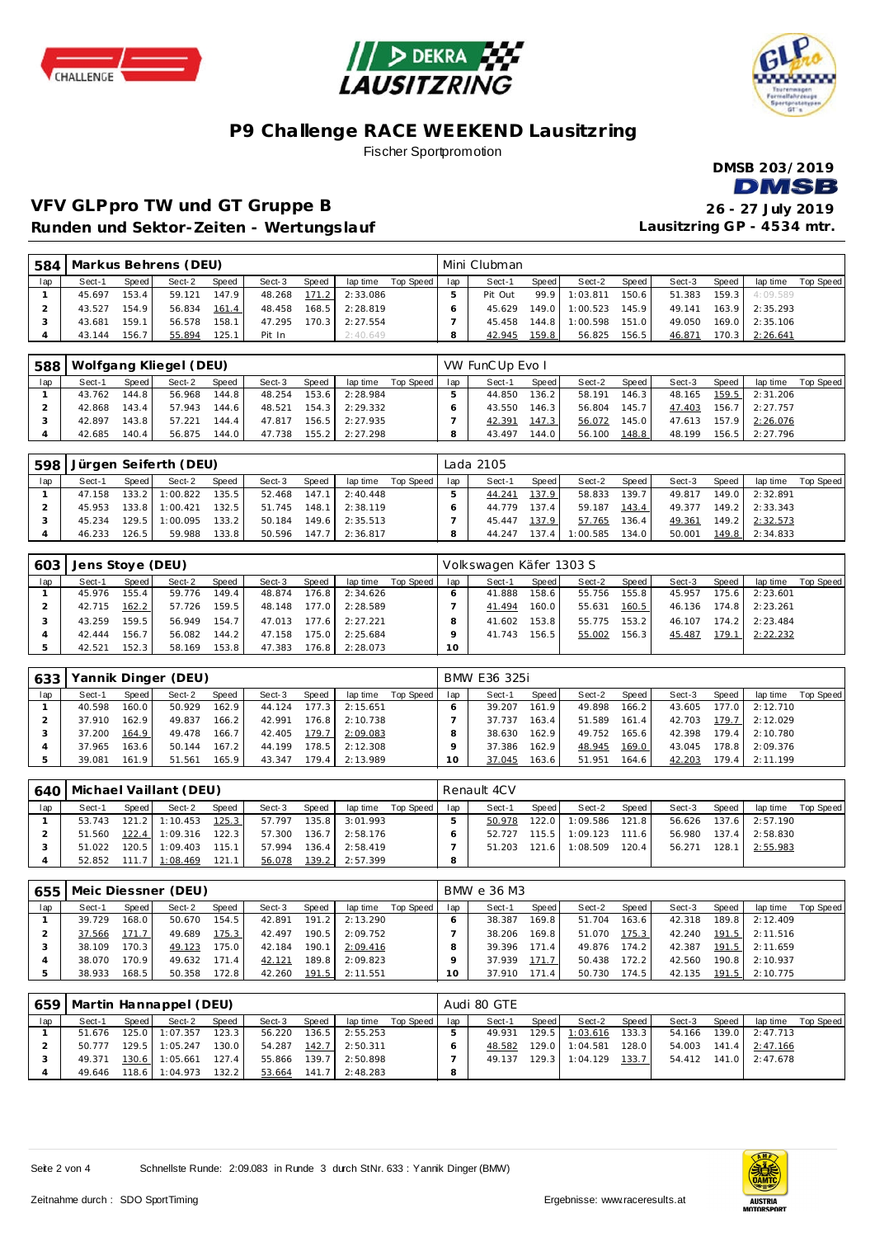





#### **P9 Challenge RACE WEEKEND Lausitzring** Fischer Sportpromotion

**DMSB 203/2019 DMSB** 

# **VFV GLPpro TW und GT Gruppe B 26 - 27 July 2019**

**Lausitzring GP - 4534 mtr.**

**Runden und Sektor-Zeiten - Wertungslauf**

| 584 |        |       | Markus Behrens (DEU) |       |        |       |          |           |     | Mini Clubman |       |                |       |        |       |          |                  |
|-----|--------|-------|----------------------|-------|--------|-------|----------|-----------|-----|--------------|-------|----------------|-------|--------|-------|----------|------------------|
| lap | Sect-1 | Speed | Sect-2               | Speed | Sect-3 | Speed | lap time | Top Speed | lap | Sect-1       | Speed | Sect-2         | Speed | Sect-3 | Speed | lap time | <b>Top Speed</b> |
|     | 45.697 | 153.4 | 59.121               | 147.9 | 48.268 | 171.2 | 2:33.086 |           |     | Pit Out      | 99.9  | 1:03.811       | 150.6 | 51.383 | 159.3 | 4:09.589 |                  |
|     | 43.527 | 154.9 | 56.834               | 161.4 | 48.458 | 168.5 | 2:28.819 |           |     | 45.629       |       | 149.0 1:00.523 | 145.9 | 49.141 | 163.9 | 2:35.293 |                  |
|     | 43.681 | 159.1 | 56.578               | 158.1 | 47.295 | 170.3 | 2:27.554 |           |     | 45.458       | 144.8 | 1:00.598       | 151.0 | 49.050 | 169.0 | 2:35.106 |                  |
|     | 43.144 | 156.7 | 55.894               | 125.1 | Pit In |       | 2:40.649 |           |     | 42.945       | 159.8 | 56.825         | 156.5 | 46.871 | 170.3 | 2:26.641 |                  |

| 588 |        |       | Wolfgang Kliegel (DEU) |       |        |              |          |           |     | VW FunC Up Evo I |         |        |       |        |       |                    |           |
|-----|--------|-------|------------------------|-------|--------|--------------|----------|-----------|-----|------------------|---------|--------|-------|--------|-------|--------------------|-----------|
| lap | Sect-1 | Speed | Sect-2                 | Speed | Sect-3 | <b>Speed</b> | lap time | Top Speed | lap | Sect-1           | Speed I | Sect-2 | Speed | Sect-3 | Speed | lap time           | Top Speed |
|     | 43.762 | 144.8 | 56.968                 | 144.8 | 48.254 | 153.6        | 2:28.984 |           |     | 44.850           | 136.2   | 58.191 | 146.3 | 48.165 |       | 159.5 2:31.206     |           |
|     | 42.868 | 143.4 | 57.943                 | 144.6 | 48.521 | 154.3        | 2:29.332 |           |     | 43.550           | 146.3   | 56.804 | 145.7 | 47.403 |       | $156.7$ $2:27.757$ |           |
|     | 42.897 | 143.8 | 57.221                 | 144.4 | 47.817 | 156.5        | 2:27.935 |           |     | 42.391           | 147.3   | 56.072 | 145.0 | 47.613 |       | 157.9 2:26.076     |           |
|     | 42.685 | 140.4 | 56.875                 | 144.0 | 47.738 | 155.2        | 2:27.298 |           |     | 43.497           | 144.0   | 56.100 | 148.8 | 48.199 | 156.5 | 2:27.796           |           |

| 598 |        |         | Jürgen Seiferth (DEU) |       |        |       |          |           |     | Lada 2105 |         |          |        |        |       |                |           |
|-----|--------|---------|-----------------------|-------|--------|-------|----------|-----------|-----|-----------|---------|----------|--------|--------|-------|----------------|-----------|
| lap | Sect-1 | Speed   | Sect-2                | Speed | Sect-3 | Speed | lap time | Top Speed | lap | Sect-1    | Speed   | Sect-2   | Speed, | Sect-3 | Speed | lap time       | Top Speed |
|     | 47.158 |         | $133.2$ 1:00.822      | 135.5 | 52.468 | 147.1 | 2:40.448 |           |     | 44.241    | 137.9   | 58.833   | 139.7  | 49.817 |       | 149.0 2:32.891 |           |
|     | 45.953 |         | 133.8 1:00.421        | 132.5 | 51.745 | 148.1 | 2:38.119 |           |     | 44.779    | 137.4   | 59.187   | 143.4  | 49.377 | 149.2 | 2:33.343       |           |
|     | 45.234 |         | 129.5 1:00.095        | 133.2 | 50.184 | 149.6 | 2:35.513 |           |     | 45.447    | 137.9   | 57.765   | 136.4  | 49.361 | 149.2 | 2:32.573       |           |
|     | 46.233 | 126.5 l | 59.988                | 133.8 | 50.596 | 147.7 | 2:36.817 |           |     | 44.247    | $137.4$ | 1:00.585 | 134.0  | 50.001 | 149.8 | 2:34.833       |           |

| 603 | Jens Stoye (DEU) |       |        |       |        |       |          |           |     | Volkswagen Käfer 1303 S |       |        |       |        |       |          |           |
|-----|------------------|-------|--------|-------|--------|-------|----------|-----------|-----|-------------------------|-------|--------|-------|--------|-------|----------|-----------|
| lap | Sect-1           | Speed | Sect-2 | Speed | Sect-3 | Speed | lap time | Top Speed | lap | Sect-1                  | Speed | Sect-2 | Speed | Sect-3 | Speed | lap time | Top Speed |
|     | 45.976           | 155.4 | 59.776 | 149.4 | 48.874 | 176.8 | 2:34.626 |           |     | 41.888                  | 158.6 | 55.756 | 155.8 | 45.957 | 175.6 | 2:23.601 |           |
|     | 42.715           | 162.2 | 57.726 | 159.5 | 48.148 | 177.0 | 2:28.589 |           |     | 41.494                  | 160.0 | 55.631 | 160.5 | 46.136 | 174.8 | 2:23.261 |           |
|     | 43.259           | 159.5 | 56.949 | 154.7 | 47.013 | 177.6 | 2:27.221 |           |     | 41.602                  | 153.8 | 55.775 | 153.2 | 46.107 | 174.2 | 2:23.484 |           |
|     | 42.444           | 156.7 | 56.082 | 144.2 | 47.158 | 175.0 | 2:25.684 |           |     | 41.743                  | 156.5 | 55.002 | 156.3 | 45.487 | 179.1 | 2:22.232 |           |
|     | 42.521           | 152.3 | 58.169 | 153.8 | 47.383 | 176.8 | 2:28.073 |           |     |                         |       |        |       |        |       |          |           |

| 633 |        |       | Yannik Dinger (DEU) |       |        |       |          |           |     | BMW E36 325i |       |        |       |        |                    |          |           |
|-----|--------|-------|---------------------|-------|--------|-------|----------|-----------|-----|--------------|-------|--------|-------|--------|--------------------|----------|-----------|
| lap | Sect-1 | Speed | Sect-2              | Speed | Sect-3 | Speed | lap time | Top Speed | lap | Sect-1       | Speed | Sect-2 | Speed | Sect-3 | Speed              | lap time | Top Speed |
|     | 40.598 | 160.0 | 50.929              | 162.9 | 44.124 | 177.3 | 2:15.651 |           |     | 39.207       | 161.9 | 49.898 | 166.2 | 43.605 | 177.0              | 2:12.710 |           |
|     | 37.910 | 162.9 | 49.837              | 166.2 | 42.991 | 176.8 | 2:10.738 |           |     | 37.737       | 163.4 | 51.589 | 161.4 | 42.703 | 179.7              | 2:12.029 |           |
|     | 37.200 | 164.9 | 49.478              | 166.7 | 42.405 | 179.7 | 2:09.083 |           |     | 38.630       | 162.9 | 49.752 | 165.6 | 42.398 | 179.4              | 2:10.780 |           |
|     | 37.965 | 163.6 | 50.144              | 167.2 | 44.199 | 178.5 | 2:12.308 |           |     | 37.386       | 162.9 | 48.945 | 169.0 | 43.045 | 178.8              | 2:09.376 |           |
|     | 39.081 | 161.9 | 51.561              | 165.9 | 43.347 | 179.4 | 2:13.989 |           |     | 37.045       | 163.6 | 51.951 | 164.6 | 42.203 | 179.4 <sub>1</sub> | 2:11.199 |           |

| 640 |        |       | Michael Vaillant (DEU) |              |        |       |          |           |     | Renault 4CV |           |          |       |        |       |                  |           |
|-----|--------|-------|------------------------|--------------|--------|-------|----------|-----------|-----|-------------|-----------|----------|-------|--------|-------|------------------|-----------|
| lap | Sect-1 | Speed | Sect-2                 | <b>Speed</b> | Sect-3 | Speed | lap time | Top Speed | lap | Sect-1      | Speed     | Sect-2   | Speed | Sect-3 | Speed | lap time         | Top Speed |
|     | 53.743 |       | $121.2$ 1:10.453       | 125.3        | 57.797 | 135.8 | 3:01.993 |           |     | 50.978      | 122.0 l   | 1:09.586 | 121.8 | 56.626 |       | 137.6 2:57.190   |           |
|     | 51.560 |       | $122.4$ 1:09.316       | 122.3        | 57.300 | 136.7 | 2:58.176 |           |     | 52.727      | $115.5$ I | 1:09.123 | 111.6 | 56.980 |       | $137.4$ 2:58.830 |           |
|     | 51.022 | 120.5 | 1:09.403               | 115.1        | 57.994 | 136.4 | 2:58.419 |           |     | 51.203      | 121.6     | 1:08.509 | 120.4 | 56.271 | 128.1 | 2:55.983         |           |
|     | 52.852 |       | 111.7 1:08.469         | 121.1        | 56.078 | 139.2 | 2:57.399 |           |     |             |           |          |       |        |       |                  |           |

| 655 |        |         | Meic Diessner (DEU) |       |        |       |          |           |         | BMW e 36 M3 |       |        |       |        |       |                  |           |
|-----|--------|---------|---------------------|-------|--------|-------|----------|-----------|---------|-------------|-------|--------|-------|--------|-------|------------------|-----------|
| lap | Sect-1 | Speed I | Sect-2              | Speed | Sect-3 | Speed | lap time | Top Speed | lap     | Sect-1      | Speed | Sect-2 | Speed | Sect-3 | Speed | lap time         | Top Speed |
|     | 39.729 | 168.0   | 50.670              | 154.5 | 42.891 | 191.2 | 2:13.290 |           |         | 38.387      | 169.8 | 51.704 | 163.6 | 42.318 | 189.8 | 2:12.409         |           |
|     | 37.566 | 171.7   | 49.689              | 175.3 | 42.497 | 190.5 | 2:09.752 |           |         | 38.206      | 169.8 | 51.070 | 175.3 | 42.240 |       | $191.5$ 2:11.516 |           |
|     | 38.109 | 170.3   | 49.123              | 175.0 | 42.184 | 190.1 | 2:09.416 |           |         | 39.396      | 171.4 | 49.876 | 174.2 | 42.387 |       | 191.5 2:11.659   |           |
|     | 38.070 | 170.9   | 49.632              | 171.4 | 42.121 | 189.8 | 2:09.823 |           |         | 37.939      | 171.7 | 50.438 | 172.2 | 42.560 | 190.8 | 2:10.937         |           |
|     | 38.933 | 168.5   | 50.358              | 172.8 | 42.260 | 191.5 | 2:11.551 |           | $10-10$ | 37.910      | 171.4 | 50.730 | 174.5 | 42.135 |       | 191.5 2:10.775   |           |

| 659 |        |       | Martin Hannappel (DEU)      |       |        |       |                         |                         |         | Audi 80 GTE |       |                      |       |        |       |                       |  |
|-----|--------|-------|-----------------------------|-------|--------|-------|-------------------------|-------------------------|---------|-------------|-------|----------------------|-------|--------|-------|-----------------------|--|
| lap | Sect-1 | Speed | Sect-2                      | Speed | Sect-3 | Speed |                         | laptime Top Speed   lap |         | Sect-1      | Speed | Sect-2               | Speed | Sect-3 | Speed | lap time Top Speed    |  |
|     |        |       | 51.676  125.0  1:07.357     | 123.3 |        |       | 56.220 136.5 2:55.253   |                         |         | 49.931      |       | 129.5 1:03.616 133.3 |       |        |       | 54.166 139.0 2:47.713 |  |
|     |        |       | 50.777 129.5 1:05.247       | 130.0 |        |       | 54.287  142.7  2:50.311 |                         |         | 48.582      |       | 129.0 1:04.581 128.0 |       |        |       | 54.003 141.4 2:47.166 |  |
|     |        |       | 49.371 130.6 1:05.661       | 127.4 |        |       | 55.866 139.7 2:50.898   |                         |         | 49.137      |       | 129.3 1:04.129 133.7 |       |        |       | 54.412 141.0 2:47.678 |  |
|     |        |       | 49.646 118.6 1:04.973 132.2 |       |        |       | 53.664 141.7 2:48.283   |                         | $\circ$ |             |       |                      |       |        |       |                       |  |

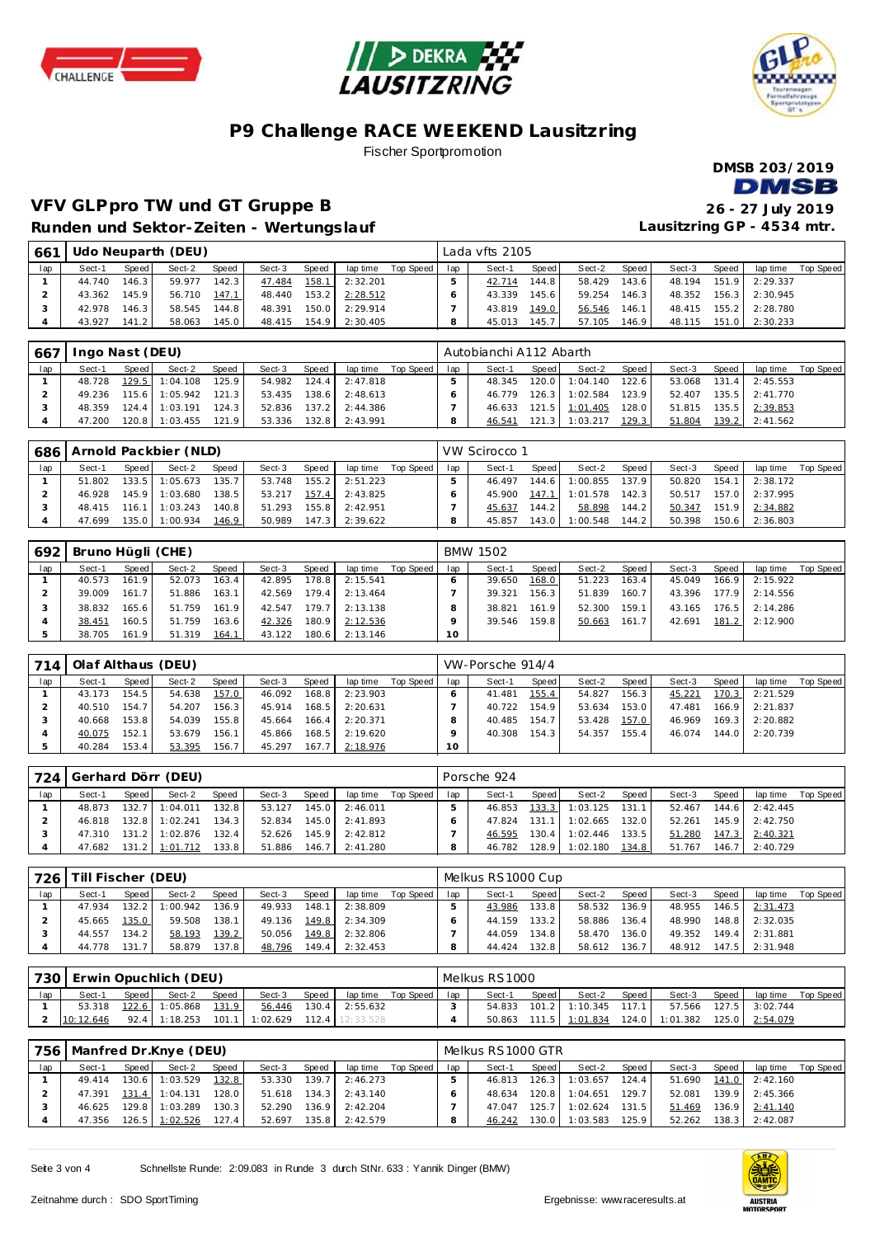





## **P9 Challenge RACE WEEKEND Lausitzring**

Fischer Sportpromotion



45.013 145.7 57.105 146.9 48.115 151.0 2:30.233

#### **VFV GLPpro TW und GT Gruppe B 26 - 27 July 2019 Runden und Sektor-Z**

42.978 146.3 58.545 144.8 48.391 150.0 2:29.914

|                |                          |       |              |       | unden und Sektor-Zeiten – Wertungslauf |                          |    |                |       |                |       | Lausitzring GP - 4534 mtr. |       |                         |  |
|----------------|--------------------------|-------|--------------|-------|----------------------------------------|--------------------------|----|----------------|-------|----------------|-------|----------------------------|-------|-------------------------|--|
|                | 661   Udo Neuparth (DEU) |       |              |       |                                        |                          |    | Lada vfts 2105 |       |                |       |                            |       |                         |  |
| lap            | Sect-1                   | Speed | Sect-2 Speed |       | Sect-3                                 | Speed lap time Top Speed | ab | Sect-1         | Speed | Sect-2         | Speed | Sect-3                     | Speed | ap time Top Speed       |  |
|                | 44.740                   | 146.3 | 59.977       | 142.3 |                                        | 47.484 158.1 2:32.201    |    | 42.714         | 144.8 | 58.429         | 143.6 |                            |       | 48.194 151.9 2:29.337   |  |
| $\mathcal{P}$  | 43.362 145.9             |       | 56.710 147.1 |       |                                        | 48.440  153.2  2:28.512  | Ô  | 43.339 145.6   |       | 59.254 146.3   |       |                            |       | 48.352 156.3 2:30.945   |  |
| 3 <sup>7</sup> | 42.978 146.3             |       | 58.545 144.8 |       |                                        | 48.391 150.0 2:29.914    |    | 43.819 149.0   |       | $56.546$ 146.1 |       |                            |       | 48.415  155.2  2:28.780 |  |

43.819 149.0 56.546 146.1 48.415 155.2 2:28.780

| 667 | Ingo Nast (DEU) |       |                  |       |        |           |          |           |     | Autobianchi A112 Abarth |       |                  |       |        |       |                       |           |
|-----|-----------------|-------|------------------|-------|--------|-----------|----------|-----------|-----|-------------------------|-------|------------------|-------|--------|-------|-----------------------|-----------|
| lap | Sect-1          | Speed | Sect-2           | Speed | Sect-3 | Speed     | lap time | Top Speed | lap | Sect-1                  | Speed | Sect-2           | Speed | Sect-3 | Speed | lap time              | Top Speed |
|     | 48.728          |       | 129.5 1:04.108   | 125.9 | 54.982 | 124.4     | 2:47.818 |           |     | 48.345                  | 120.0 | 1:04.140         | 122.6 |        |       | 53.068 131.4 2:45.553 |           |
|     | 49.236          |       | $115.6$ 1:05.942 | 121.3 | 53.435 | 138.6     | 2:48.613 |           |     | 46.779                  |       | $126.3$ 1:02.584 | 123.9 | 52.407 |       | $135.5$ 2:41.770      |           |
|     | 48.359          | 124.4 | 1:03.191         | 124.3 | 52.836 | 137.2     | 2:44.386 |           |     | 46.633                  |       | 121.5 1:01.405   | 128.0 | 51.815 |       | 135.5 2:39.853        |           |
|     | 47.200          | 120.8 | 1:03.455         | 121.9 | 53.336 | $132.8$ I | 2:43.991 |           |     | 46.541                  |       | $121.3$ 1:03.217 | 129.3 | 51.804 |       | 139.2 2:41.562        |           |

43.927 141.2 58.063 145.0 48.415 154.9 2:30.405

|     | 686   Arnold Packbier (NLD)<br>Speed<br>Speed<br>Sect-2<br>Sect-3<br><b>Speed</b><br>Sect-1<br>lap time<br>51.802<br>133.5<br>135.7<br>1:05.673<br>155.2<br>2:51.223<br>53.748 |         |          |       |        |       |          |           |     | VW Scirocco 1 |         |          |       |        |       |          |           |
|-----|--------------------------------------------------------------------------------------------------------------------------------------------------------------------------------|---------|----------|-------|--------|-------|----------|-----------|-----|---------------|---------|----------|-------|--------|-------|----------|-----------|
| lap |                                                                                                                                                                                |         |          |       |        |       |          | Top Speed | lap | Sect-1        | Speed   | Sect-2   | Speed | Sect-3 | Speed | lap time | Top Speed |
|     |                                                                                                                                                                                |         |          |       |        |       |          |           |     | 46.497        | 144.6   | 1:00.855 | 137.9 | 50.820 | 154.1 | 2:38.172 |           |
|     | 46.928                                                                                                                                                                         | 145.9   | 1:03.680 | 138.5 | 53.217 | 157.4 | 2:43.825 |           |     | 45.900        | 147.1   | 1:01.578 | 142.3 | 50.517 | 157.0 | 2:37.995 |           |
|     | 48.415                                                                                                                                                                         | 16.1    | 1:03.243 | 140.8 | 51.293 | 155.8 | 2:42.951 |           |     | 45.637        | $144.2$ | 58.898   | 144.2 | 50.347 | 151.9 | 2:34.882 |           |
|     | 47.699                                                                                                                                                                         | 135.O I | 1:00.934 | 146.9 | 50.989 | 147.3 | 2:39.622 |           |     | 45.857        | 143.0   | 1:00.548 | 144.2 | 50.398 | 150.6 | 2:36.803 |           |

| 692 | Bruno Hügli (CHE) |         |        |       |        |                    |          |           |     | <b>BMW 1502</b> |         |        |       |        |       |                |           |
|-----|-------------------|---------|--------|-------|--------|--------------------|----------|-----------|-----|-----------------|---------|--------|-------|--------|-------|----------------|-----------|
| lap | Sect-1            | Speed I | Sect-2 | Speed | Sect-3 | Speed              | lap time | Top Speed | lap | Sect-1          | Speed I | Sect-2 | Speed | Sect-3 | Speed | lap time       | Top Speed |
|     | 40.573            | 161.91  | 52.073 | 163.4 | 42.895 | 178.8              | 2:15.541 |           |     | 39.650          | 168.0   | 51.223 | 163.4 | 45.049 | 166.9 | 2:15.922       |           |
|     | 39.009            | 161.7   | 51.886 | 163.1 | 42.569 | 179.4              | 2:13.464 |           |     | 39.321          | 156.31  | 51.839 | 160.7 | 43.396 | 177.9 | 2:14.556       |           |
|     | 38.832            | 165.6   | 51.759 | 161.9 | 42.547 | 179.7 <sup>1</sup> | 2:13.138 |           |     | 38.821          | 161.9   | 52.300 | 159.1 | 43.165 |       | 176.5 2:14.286 |           |
|     | 38.451            | 160.5   | 51.759 | 163.6 | 42.326 | 180.9              | 2:12.536 |           |     | 39.546          | 159.8   | 50.663 | 161.7 | 42.691 | 181.2 | 2:12.900       |           |
|     | 38.705            | 161.9   | 51.319 | 164.1 | 43.122 | 180.6              | 2:13.146 |           | 10  |                 |         |        |       |        |       |                |           |

| 714 | Olaf Althaus (DEU) |         |        |       |        |       |          |           |     | VW-Porsche 914/4 |       |        |       |        |       |          |           |
|-----|--------------------|---------|--------|-------|--------|-------|----------|-----------|-----|------------------|-------|--------|-------|--------|-------|----------|-----------|
| lap | Sect-1             | Speed I | Sect-2 | Speed | Sect-3 | Speed | lap time | Top Speed | lap | Sect-1           | Speed | Sect-2 | Speed | Sect-3 | Speed | lap time | Top Speed |
|     | 43.173             | 154.5   | 54.638 | 157.0 | 46.092 | 168.8 | 2:23.903 |           |     | 41.481           | 155.4 | 54.827 | 156.3 | 45.221 | 170.3 | 2:21.529 |           |
|     | 40.510             | 154.7   | 54.207 | 156.3 | 45.914 | 168.5 | 2:20.631 |           |     | 40.722           | 154.9 | 53.634 | 153.0 | 47.481 | 166.9 | 2:21.837 |           |
|     | 40.668             | 153.8   | 54.039 | 155.8 | 45.664 | 166.4 | 2:20.371 |           |     | 40.485           | 154.7 | 53.428 | 157.0 | 46.969 | 169.3 | 2:20.882 |           |
|     | 40.075             | 152.1   | 53.679 | 156.1 | 45.866 | 168.5 | 2:19.620 |           |     | 40.308           | 154.3 | 54.357 | 155.4 | 46.074 | 144.0 | 2:20.739 |           |
|     | 40.284             | 153.4   | 53.395 | 156.7 | 45.297 | 167.7 | 2:18.976 |           |     |                  |       |        |       |        |       |          |           |

| 724 |        |       | Gerhard Dörr (DEU) |                    |        |       |          |           |     | Porsche 924 |         |                  |       |        |       |          |           |
|-----|--------|-------|--------------------|--------------------|--------|-------|----------|-----------|-----|-------------|---------|------------------|-------|--------|-------|----------|-----------|
| lap | Sect-1 | Speed | Sect-2             | <b>Speed</b>       | Sect-3 | Speed | lap time | Top Speed | lap | Sect-1      | Speed I | Sect-2           | Speed | Sect-3 | Speed | lap time | Top Speed |
|     | 48.873 | 132.7 | 1:04.011           | 132.8 <sub>1</sub> | 53.127 | 145.0 | 2:46.011 |           |     | 46.853      |         | $133.3$ 1:03.125 | 131.1 | 52.467 | 144.6 | 2:42.445 |           |
|     | 46.818 | 132.8 | 1:02.241           | 134.3              | 52.834 | 145.0 | 2:41.893 |           |     | 47.824      | 131.1   | 1:02.665         | 132.0 | 52.261 | 145.9 | 2:42.750 |           |
|     | 47.310 | 131.2 | 1:02.876           | 132.4              | 52.626 | 145.9 | 2:42.812 |           |     | 46.595      |         | $130.4$ 1:02.446 | 133.5 | 51.280 | 147.3 | 2:40.321 |           |
|     | 47.682 | 131.2 | 1:01.712           | 133.8              | 51.886 | 146.7 | 2:41.280 |           |     | 46.782      |         | 128.9 1:02.180   | 134.8 | 51.767 | 146.7 | 2:40.729 |           |

| 726 | Till Fischer (DEU) |       |          |                    |        |       |          |           |     | Melkus RS1000 Cup |       |        |                    |        |       |          |           |
|-----|--------------------|-------|----------|--------------------|--------|-------|----------|-----------|-----|-------------------|-------|--------|--------------------|--------|-------|----------|-----------|
| lap | Sect-1             | Speed | Sect-2   | <b>Speed</b>       | Sect-3 | Speed | lap time | Top Speed | lap | Sect-1            | Speed | Sect-2 | Speed              | Sect-3 | Speed | lap time | Top Speed |
|     | 47.934             | 132.2 | : 00.942 | 136.9 <sub>1</sub> | 49.933 | 148.1 | 2:38.809 |           |     | 43.986            | 133.8 | 58.532 | 136.9 <sub>1</sub> | 48.955 | 146.5 | 2:31.473 |           |
|     | 45.665             | 135.0 | 59.508   | 138.1              | 49.136 | 149.8 | 2:34.309 |           |     | 44.159            | 133.2 | 58.886 | 136.4              | 48.990 | 148.8 | 2:32.035 |           |
|     | 44.557             | 134.2 | 58.193   | 139.2              | 50.056 | 149.8 | 2:32.806 |           |     | 44.059            | 134.8 | 58.470 | 136.0              | 49.352 | 149.4 | 2:31.881 |           |
|     | 44.778             | 131.7 | 58.879   | 137.8              | 48.796 | 149.4 | 2:32.453 |           |     | 44.424            | 132.8 | 58.612 | 136.7              | 48.912 | 147.5 | 2:31.948 |           |
|     |                    |       |          |                    |        |       |          |           |     |                   |       |        |                    |        |       |          |           |

|     | 730   Erwin Opuchlich (DEU) |         |                |       |          |           | Melkus RS1000 |           |     |        |       |                  |       |                |       |          |           |
|-----|-----------------------------|---------|----------------|-------|----------|-----------|---------------|-----------|-----|--------|-------|------------------|-------|----------------|-------|----------|-----------|
| lap | Sect-1                      | Speed I | Sect-2         | Speed | Sect-3   | Speed     | lap time      | Top Speed | lap | Sect-1 | Speed | Sect-2           | Speed | Sect-3         | Speed | lap time | Top Speed |
|     | 53.318                      |         | 122.6 1:05.868 | 131.9 | 56.446   | 130.4     | 2:55.632      |           |     | 54.833 |       | $101.2$ 1:10.345 | 117.1 | 57.566         | 127.5 | 3:02.744 |           |
|     | 10:12.646                   | 92.4    | 1:18.253       | 101.1 | 1:02.629 | $112.4$ I |               |           |     | 50.863 |       | 111.5 1:01.834   |       | 124.0 1:01.382 | 125.0 | 2:54.079 |           |

| 756 |        |         | Manfred Dr.Knye (DEU) |       |        |       |                  |           | Melkus RS1000 GTR |        |       |          |       |        |       |          |           |  |  |
|-----|--------|---------|-----------------------|-------|--------|-------|------------------|-----------|-------------------|--------|-------|----------|-------|--------|-------|----------|-----------|--|--|
| lap | Sect-1 | Speed   | Sect-2                | Speed | Sect-3 | Speed | lap time         | Top Speed | lap               | Sect-1 | Speed | Sect-2   | Speed | Sect-3 | Speed | lap time | Top Speed |  |  |
|     | 49.414 | 130.6   | 1:03.529              | 132.8 | 53.330 | 139.7 | 2:46.273         |           |                   | 46.813 | 126.3 | 1:03.657 | 124.4 | 51.690 | 141.0 | 2:42.160 |           |  |  |
|     | 47.391 | 131.4   | 1:04.131              | 128.0 | 51.618 |       | $134.3$ 2:43.140 |           |                   | 48.634 | 120.8 | 1:04.651 | 129.7 | 52.081 | 139.9 | 2:45.366 |           |  |  |
|     | 46.625 | 129.8   | 1:03.289              | 130.3 | 52.290 |       | 136.9 2:42.204   |           |                   | 47.047 | 125.7 | 1:02.624 | 131.5 | 51.469 | 136.9 | 2:41.140 |           |  |  |
|     | 47.356 | 126.5 l | 1:02.526              | 127.4 | 52.697 | 135.8 | 2:42.579         |           |                   | 46.242 | 130.0 | 1:03.583 | 125.9 | 52.262 | 138.3 | 2:42.087 |           |  |  |

Seite 3 von 4 Schnellste Runde: 2:09.083 in Runde 3 durch StNr. 633 : Yannik Dinger (BMW)